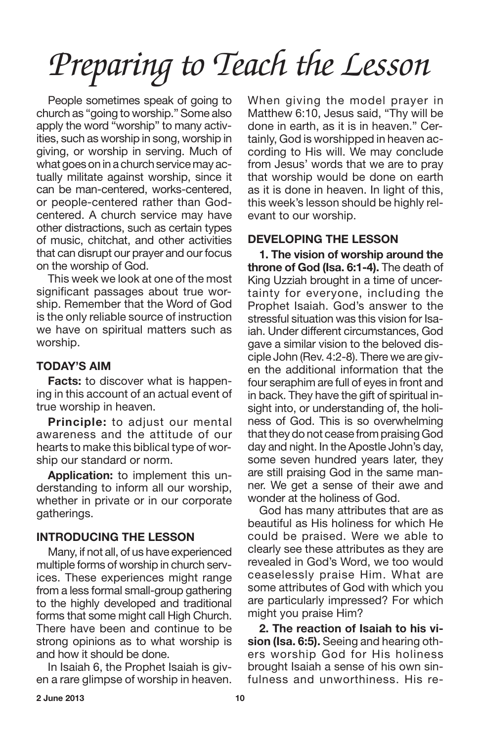People sometimes speak of going to church as "going to worship." Some also apply the word "worship" to many activities, such as worship in song, worship in giving, or worship in serving. Much of what goes on in a church service may actually militate against worship, since it can be man-centered, works-centered, or people-centered rather than Godcentered. A church service may have other distractions, such as certain types of music, chitchat, and other activities that can disrupt our prayer and our focus on the worship of God.

This week we look at one of the most significant passages about true worship. Remember that the Word of God is the only reliable source of instruction we have on spiritual matters such as worship.

# **TODAY'S AIM**

**Facts:** to discover what is happening in this account of an actual event of true worship in heaven.

**Principle:** to adjust our mental awareness and the attitude of our hearts to make this biblical type of worship our standard or norm.

**Application:** to implement this understanding to inform all our worship, whether in private or in our corporate gatherings.

## **INTRODUCING THE LESSON**

Many, if not all, of us have experienced multiple forms of worship in church services. These experiences might range from a less formal small-group gathering to the highly developed and traditional forms that some might call High Church. There have been and continue to be strong opinions as to what worship is and how it should be done.

In Isaiah 6, the Prophet Isaiah is given a rare glimpse of worship in heaven. When giving the model prayer in Matthew 6:10, Jesus said, "Thy will be done in earth, as it is in heaven." Certainly, God is worshipped in heaven according to His will. We may conclude from Jesus' words that we are to pray that worship would be done on earth as it is done in heaven. In light of this, this week's lesson should be highly relevant to our worship.

## **DEVELOPING THE LESSON**

**1. The vision of worship around the throne of God (Isa. 6:1-4).** The death of King Uzziah brought in a time of uncertainty for everyone, including the Prophet Isaiah. God's answer to the stressful situation was this vision for Isaiah. Under different circumstances, God gave a similar vision to the beloved disciple John (Rev. 4:2-8). There we are given the additional information that the four seraphim are full of eyes in front and in back. They have the gift of spiritual insight into, or understanding of, the holiness of God. This is so overwhelming that they do not cease from praising God day and night. In the Apostle John's day, some seven hundred years later, they are still praising God in the same manner. We get a sense of their awe and wonder at the holiness of God.

God has many attributes that are as beautiful as His holiness for which He could be praised. Were we able to clearly see these attributes as they are revealed in God's Word, we too would ceaselessly praise Him. What are some attributes of God with which you are particularly impressed? For which might you praise Him?

**2. The reaction of Isaiah to his vision (Isa. 6:5).** Seeing and hearing others worship God for His holiness brought Isaiah a sense of his own sinfulness and unworthiness. His re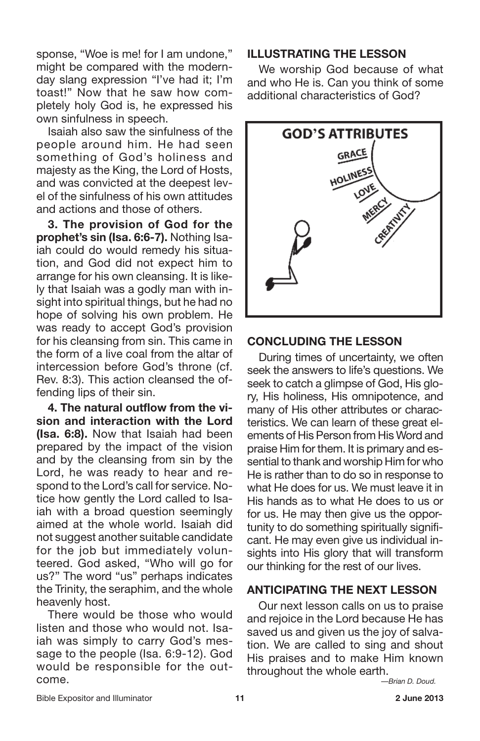sponse, "Woe is me! for I am undone," might be compared with the modernday slang expression "I've had it; I'm toast!" Now that he saw how completely holy God is, he expressed his own sinfulness in speech.

Isaiah also saw the sinfulness of the people around him. He had seen something of God's holiness and majesty as the King, the Lord of Hosts, and was convicted at the deepest level of the sinfulness of his own attitudes and actions and those of others.

**3. The provision of God for the prophet's sin (Isa. 6:6-7).** Nothing Isaiah could do would remedy his situation, and God did not expect him to arrange for his own cleansing. It is likely that Isaiah was a godly man with insight into spiritual things, but he had no hope of solving his own problem. He was ready to accept God's provision for his cleansing from sin. This came in the form of a live coal from the altar of intercession before God's throne (cf. Rev. 8:3). This action cleansed the offending lips of their sin.

**4. The natural outflow from the vision and interaction with the Lord (Isa. 6:8).** Now that Isaiah had been prepared by the impact of the vision and by the cleansing from sin by the Lord, he was ready to hear and respond to the Lord's call for service. Notice how gently the Lord called to Isaiah with a broad question seemingly aimed at the whole world. Isaiah did not suggest another suitable candidate for the job but immediately volunteered. God asked, "Who will go for us?" The word "us" perhaps indicates the Trinity, the seraphim, and the whole heavenly host.

There would be those who would listen and those who would not. Isaiah was simply to carry God's message to the people (Isa. 6:9-12). God would be responsible for the outcome.

### **ILLUSTRATING THE LESSON**

We worship God because of what and who He is. Can you think of some additional characteristics of God?



#### **CONCLUDING THE LESSON**

During times of uncertainty, we often seek the answers to life's questions. We seek to catch a glimpse of God, His glory, His holiness, His omnipotence, and many of His other attributes or characteristics. We can learn of these great elements of His Person from His Word and praise Him for them. It is primary and essential to thank and worship Him for who He is rather than to do so in response to what He does for us. We must leave it in His hands as to what He does to us or for us. He may then give us the opportunity to do something spiritually significant. He may even give us individual insights into His glory that will transform our thinking for the rest of our lives.

# **ANTICIPATING THE NEXT LESSON**

Our next lesson calls on us to praise and rejoice in the Lord because He has saved us and given us the joy of salvation. We are called to sing and shout His praises and to make Him known throughout the whole earth.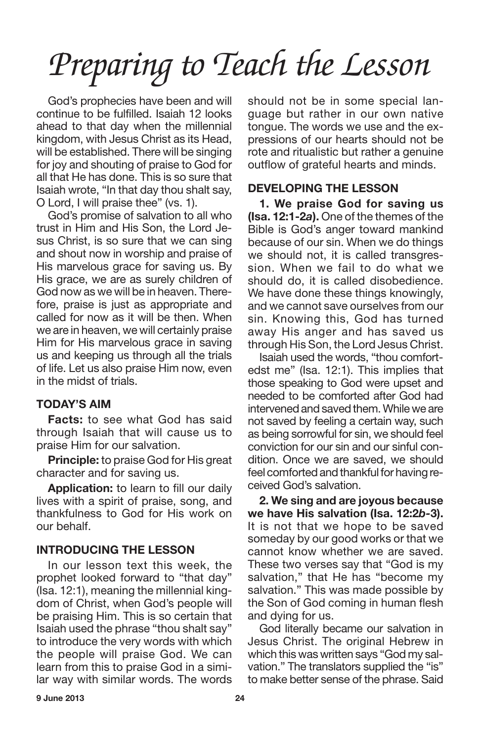God's prophecies have been and will continue to be fulfilled. Isaiah 12 looks ahead to that day when the millennial kingdom, with Jesus Christ as its Head, will be established. There will be singing for joy and shouting of praise to God for all that He has done. This is so sure that Isaiah wrote, "In that day thou shalt say, O Lord, I will praise thee" (vs. 1).

God's promise of salvation to all who trust in Him and His Son, the Lord Jesus Christ, is so sure that we can sing and shout now in worship and praise of His marvelous grace for saving us. By His grace, we are as surely children of God now as we will be in heaven. Therefore, praise is just as appropriate and called for now as it will be then. When we are in heaven, we will certainly praise Him for His marvelous grace in saving us and keeping us through all the trials of life. Let us also praise Him now, even in the midst of trials.

# **TODAY'S AIM**

**Facts:** to see what God has said through Isaiah that will cause us to praise Him for our salvation.

**Principle:** to praise God for His great character and for saving us.

**Application:** to learn to fill our daily lives with a spirit of praise, song, and thankfulness to God for His work on our behalf.

## **INTRODUCING THE LESSON**

In our lesson text this week, the prophet looked forward to "that day" (Isa. 12:1), meaning the millennial kingdom of Christ, when God's people will be praising Him. This is so certain that Isaiah used the phrase "thou shalt say" to introduce the very words with which the people will praise God. We can learn from this to praise God in a similar way with similar words. The words should not be in some special language but rather in our own native tongue. The words we use and the expressions of our hearts should not be rote and ritualistic but rather a genuine outflow of grateful hearts and minds.

## **DEVELOPING THE LESSON**

**1. We praise God for saving us (Isa. 12:1-2***a***).** One of the themes of the Bible is God's anger toward mankind because of our sin. When we do things we should not, it is called transgression. When we fail to do what we should do, it is called disobedience. We have done these things knowingly, and we cannot save ourselves from our sin. Knowing this, God has turned away His anger and has saved us through His Son, the Lord Jesus Christ.

Isaiah used the words, "thou comfortedst me" (Isa. 12:1). This implies that those speaking to God were upset and needed to be comforted after God had intervened and saved them. While we are not saved by feeling a certain way, such as being sorrowful for sin, we should feel conviction for our sin and our sinful condition. Once we are saved, we should feel comforted and thankful for having received God's salvation.

**2. We sing and are joyous because we have His salvation (Isa. 12:2***b-***3).** It is not that we hope to be saved someday by our good works or that we cannot know whether we are saved. These two verses say that "God is my salvation," that He has "become my salvation." This was made possible by the Son of God coming in human flesh and dying for us.

God literally became our salvation in Jesus Christ. The original Hebrew in which this was written says "God my salvation." The translators supplied the "is" to make better sense of the phrase. Said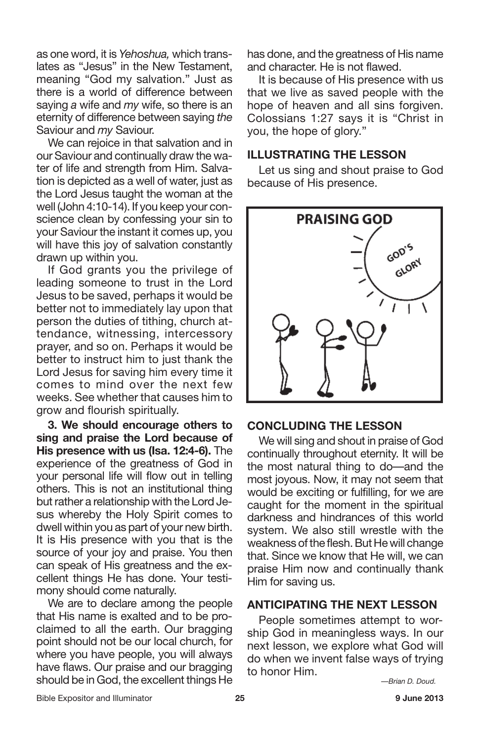as one word, it is *Yehoshua,* which translates as "Jesus" in the New Testament, meaning "God my salvation." Just as there is a world of difference between saying *a* wife and *my* wife, so there is an eternity of difference between saying *the* Saviour and *my* Saviour.

We can rejoice in that salvation and in our Saviour and continually draw the water of life and strength from Him. Salvation is depicted as a well of water, just as the Lord Jesus taught the woman at the well (John 4:10-14). If you keep your conscience clean by confessing your sin to your Saviour the instant it comes up, you will have this joy of salvation constantly drawn up within you.

If God grants you the privilege of leading someone to trust in the Lord Jesus to be saved, perhaps it would be better not to immediately lay upon that person the duties of tithing, church attendance, witnessing, intercessory prayer, and so on. Perhaps it would be better to instruct him to just thank the Lord Jesus for saving him every time it comes to mind over the next few weeks. See whether that causes him to grow and flourish spiritually.

**3. We should encourage others to sing and praise the Lord because of His presence with us (Isa. 12:4-6).** The experience of the greatness of God in your personal life will flow out in telling others. This is not an institutional thing but rather a relationship with the Lord Jesus whereby the Holy Spirit comes to dwell within you as part of your new birth. It is His presence with you that is the source of your joy and praise. You then can speak of His greatness and the excellent things He has done. Your testimony should come naturally.

We are to declare among the people that His name is exalted and to be proclaimed to all the earth. Our bragging point should not be our local church, for where you have people, you will always have flaws. Our praise and our bragging should be in God, the excellent things He has done, and the greatness of His name and character. He is not flawed.

It is because of His presence with us that we live as saved people with the hope of heaven and all sins forgiven. Colossians 1:27 says it is "Christ in you, the hope of glory."

### **ILLUSTRATING THE LESSON**

Let us sing and shout praise to God because of His presence.



#### **CONCLUDING THE LESSON**

We will sing and shout in praise of God continually throughout eternity. It will be the most natural thing to do—and the most joyous. Now, it may not seem that would be exciting or fulfilling, for we are caught for the moment in the spiritual darkness and hindrances of this world system. We also still wrestle with the weakness of the flesh. But He will change that. Since we know that He will, we can praise Him now and continually thank Him for saving us.

#### **ANTICIPATING THE NEXT LESSON**

People sometimes attempt to worship God in meaningless ways. In our next lesson, we explore what God will do when we invent false ways of trying to honor Him.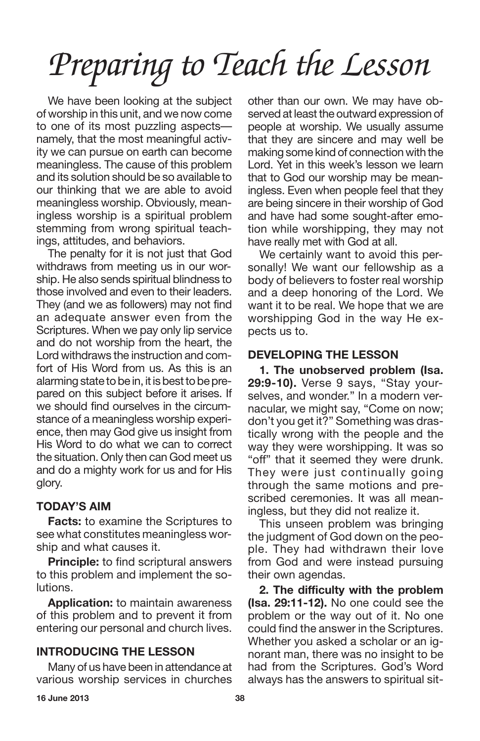We have been looking at the subject of worship in this unit, and we now come to one of its most puzzling aspects namely, that the most meaningful activity we can pursue on earth can become meaningless. The cause of this problem and its solution should be so available to our thinking that we are able to avoid meaningless worship. Obviously, meaningless worship is a spiritual problem stemming from wrong spiritual teachings, attitudes, and behaviors.

The penalty for it is not just that God withdraws from meeting us in our worship. He also sends spiritual blindness to those involved and even to their leaders. They (and we as followers) may not find an adequate answer even from the Scriptures. When we pay only lip service and do not worship from the heart, the Lord withdraws the instruction and comfort of His Word from us. As this is an alarming state to be in, it is best to be prepared on this subject before it arises. If we should find ourselves in the circumstance of a meaningless worship experience, then may God give us insight from His Word to do what we can to correct the situation. Only then can God meet us and do a mighty work for us and for His glory.

## **TODAY'S AIM**

**Facts:** to examine the Scriptures to see what constitutes meaningless worship and what causes it.

**Principle:** to find scriptural answers to this problem and implement the solutions.

**Application:** to maintain awareness of this problem and to prevent it from entering our personal and church lives.

# **INTRODUCING THE LESSON**

Many of us have been in attendance at various worship services in churches other than our own. We may have observed at least the outward expression of people at worship. We usually assume that they are sincere and may well be making some kind of connection with the Lord. Yet in this week's lesson we learn that to God our worship may be meaningless. Even when people feel that they are being sincere in their worship of God and have had some sought-after emotion while worshipping, they may not have really met with God at all.

We certainly want to avoid this personally! We want our fellowship as a body of believers to foster real worship and a deep honoring of the Lord. We want it to be real. We hope that we are worshipping God in the way He expects us to.

## **DEVELOPING THE LESSON**

**1. The unobserved problem (Isa. 29:9-10).** Verse 9 says, "Stay yourselves, and wonder." In a modern vernacular, we might say, "Come on now; don't you get it?" Something was drastically wrong with the people and the way they were worshipping. It was so "off" that it seemed they were drunk. They were just continually going through the same motions and prescribed ceremonies. It was all meaningless, but they did not realize it.

This unseen problem was bringing the judgment of God down on the people. They had withdrawn their love from God and were instead pursuing their own agendas.

**2. The difficulty with the problem (Isa. 29:11-12).** No one could see the problem or the way out of it. No one could find the answer in the Scriptures. Whether you asked a scholar or an ignorant man, there was no insight to be had from the Scriptures. God's Word always has the answers to spiritual sit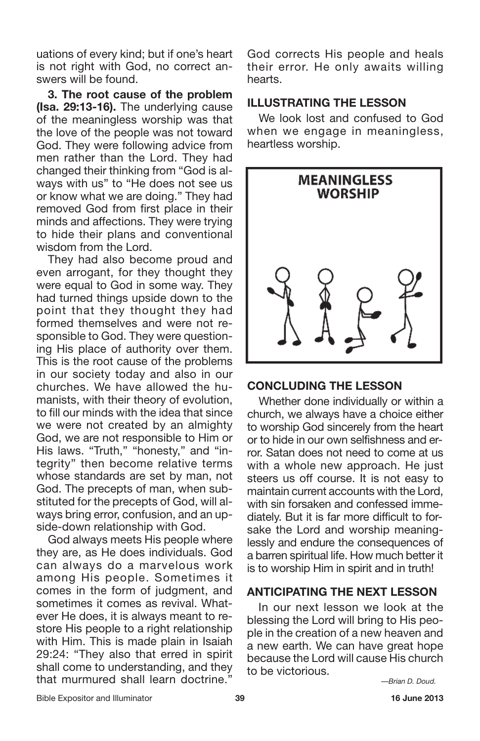uations of every kind; but if one's heart is not right with God, no correct answers will be found.

**3. The root cause of the problem (Isa. 29:13-16).** The underlying cause of the meaningless worship was that the love of the people was not toward God. They were following advice from men rather than the Lord. They had changed their thinking from "God is always with us" to "He does not see us or know what we are doing." They had removed God from first place in their minds and affections. They were trying to hide their plans and conventional wisdom from the Lord.

They had also become proud and even arrogant, for they thought they were equal to God in some way. They had turned things upside down to the point that they thought they had formed themselves and were not responsible to God. They were questioning His place of authority over them. This is the root cause of the problems in our society today and also in our churches. We have allowed the humanists, with their theory of evolution, to fill our minds with the idea that since we were not created by an almighty God, we are not responsible to Him or His laws. "Truth," "honesty," and "integrity" then become relative terms whose standards are set by man, not God. The precepts of man, when substituted for the precepts of God, will always bring error, confusion, and an upside-down relationship with God.

God always meets His people where they are, as He does individuals. God can always do a marvelous work among His people. Sometimes it comes in the form of judgment, and sometimes it comes as revival. Whatever He does, it is always meant to restore His people to a right relationship with Him. This is made plain in Isaiah 29:24: "They also that erred in spirit shall come to understanding, and they that murmured shall learn doctrine."

God corrects His people and heals their error. He only awaits willing hearts.

### **ILLUSTRATING THE LESSON**

We look lost and confused to God when we engage in meaningless, heartless worship.



## **CONCLUDING THE LESSON**

Whether done individually or within a church, we always have a choice either to worship God sincerely from the heart or to hide in our own selfishness and error. Satan does not need to come at us with a whole new approach. He just steers us off course. It is not easy to maintain current accounts with the Lord, with sin forsaken and confessed immediately. But it is far more difficult to forsake the Lord and worship meaninglessly and endure the consequences of a barren spiritual life. How much better it is to worship Him in spirit and in truth!

### **ANTICIPATING THE NEXT LESSON**

In our next lesson we look at the blessing the Lord will bring to His people in the creation of a new heaven and a new earth. We can have great hope because the Lord will cause His church to be victorious.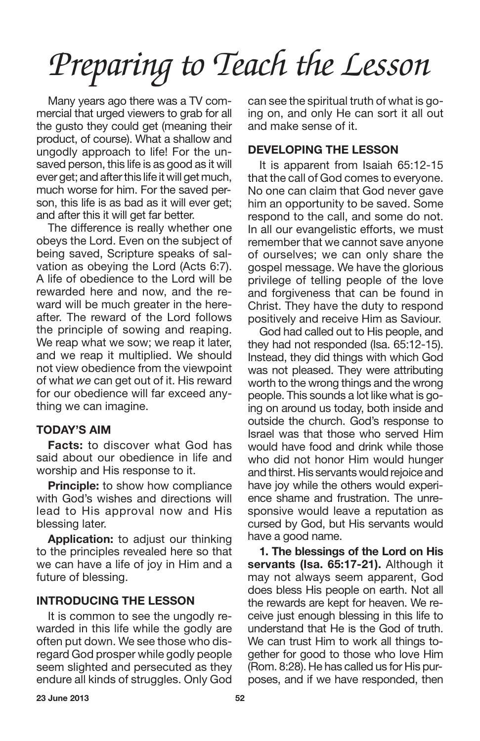Many years ago there was a TV commercial that urged viewers to grab for all the gusto they could get (meaning their product, of course). What a shallow and ungodly approach to life! For the unsaved person, this life is as good as it will ever get; and after this life it will get much, much worse for him. For the saved person, this life is as bad as it will ever get; and after this it will get far better.

The difference is really whether one obeys the Lord. Even on the subject of being saved, Scripture speaks of salvation as obeying the Lord (Acts 6:7). A life of obedience to the Lord will be rewarded here and now, and the reward will be much greater in the hereafter. The reward of the Lord follows the principle of sowing and reaping. We reap what we sow; we reap it later, and we reap it multiplied. We should not view obedience from the viewpoint of what *we* can get out of it. His reward for our obedience will far exceed anything we can imagine.

## **TODAY'S AIM**

**Facts:** to discover what God has said about our obedience in life and worship and His response to it.

**Principle:** to show how compliance with God's wishes and directions will lead to His approval now and His blessing later.

**Application:** to adjust our thinking to the principles revealed here so that we can have a life of joy in Him and a future of blessing.

### **INTRODUCING THE LESSON**

It is common to see the ungodly rewarded in this life while the godly are often put down. We see those who disregard God prosper while godly people seem slighted and persecuted as they endure all kinds of struggles. Only God can see the spiritual truth of what is going on, and only He can sort it all out and make sense of it.

## **DEVELOPING THE LESSON**

It is apparent from Isaiah 65:12-15 that the call of God comes to everyone. No one can claim that God never gave him an opportunity to be saved. Some respond to the call, and some do not. In all our evangelistic efforts, we must remember that we cannot save anyone of ourselves; we can only share the gospel message. We have the glorious privilege of telling people of the love and forgiveness that can be found in Christ. They have the duty to respond positively and receive Him as Saviour.

God had called out to His people, and they had not responded (Isa. 65:12-15). Instead, they did things with which God was not pleased. They were attributing worth to the wrong things and the wrong people. This sounds a lot like what is going on around us today, both inside and outside the church. God's response to Israel was that those who served Him would have food and drink while those who did not honor Him would hunger and thirst. His servants would rejoice and have joy while the others would experience shame and frustration. The unresponsive would leave a reputation as cursed by God, but His servants would have a good name.

**1. The blessings of the Lord on His servants (Isa. 65:17-21).** Although it may not always seem apparent, God does bless His people on earth. Not all the rewards are kept for heaven. We receive just enough blessing in this life to understand that He is the God of truth. We can trust Him to work all things together for good to those who love Him (Rom. 8:28). He has called us for His purposes, and if we have responded, then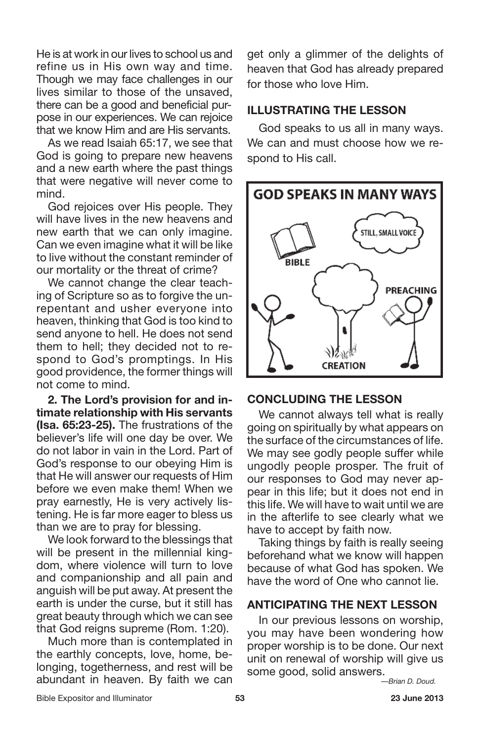He is at work in our lives to school us and refine us in His own way and time. Though we may face challenges in our lives similar to those of the unsaved, there can be a good and beneficial purpose in our experiences. We can rejoice that we know Him and are His servants.

As we read Isaiah 65:17, we see that God is going to prepare new heavens and a new earth where the past things that were negative will never come to mind.

God rejoices over His people. They will have lives in the new heavens and new earth that we can only imagine. Can we even imagine what it will be like to live without the constant reminder of our mortality or the threat of crime?

We cannot change the clear teaching of Scripture so as to forgive the unrepentant and usher everyone into heaven, thinking that God is too kind to send anyone to hell. He does not send them to hell; they decided not to respond to God's promptings. In His good providence, the former things will not come to mind.

**2. The Lord's provision for and intimate relationship with His servants (Isa. 65:23-25).** The frustrations of the believer's life will one day be over. We do not labor in vain in the Lord. Part of God's response to our obeying Him is that He will answer our requests of Him before we even make them! When we pray earnestly, He is very actively listening. He is far more eager to bless us than we are to pray for blessing.

We look forward to the blessings that will be present in the millennial kingdom, where violence will turn to love and companionship and all pain and anguish will be put away. At present the earth is under the curse, but it still has great beauty through which we can see that God reigns supreme (Rom. 1:20).

Much more than is contemplated in the earthly concepts, love, home, belonging, togetherness, and rest will be abundant in heaven. By faith we can get only a glimmer of the delights of heaven that God has already prepared for those who love Him.

### **ILLUSTRATING THE LESSON**

God speaks to us all in many ways. We can and must choose how we respond to His call.

![](_page_7_Picture_10.jpeg)

#### **CONCLUDING THE LESSON**

We cannot always tell what is really going on spiritually by what appears on the surface of the circumstances of life. We may see godly people suffer while ungodly people prosper. The fruit of our responses to God may never appear in this life; but it does not end in this life. We will have to wait until we are in the afterlife to see clearly what we have to accept by faith now.

Taking things by faith is really seeing beforehand what we know will happen because of what God has spoken. We have the word of One who cannot lie.

### **ANTICIPATING THE NEXT LESSON**

In our previous lessons on worship, you may have been wondering how proper worship is to be done. Our next unit on renewal of worship will give us some good, solid answers.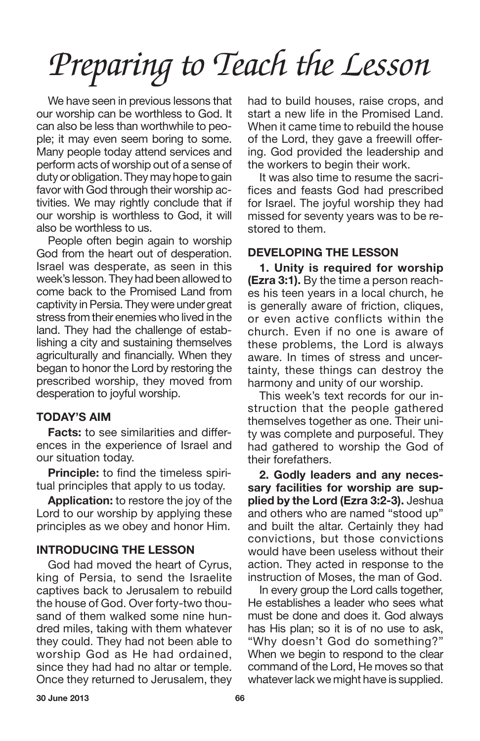We have seen in previous lessons that our worship can be worthless to God. It can also be less than worthwhile to people; it may even seem boring to some. Many people today attend services and perform acts of worship out of a sense of duty or obligation. They may hope to gain favor with God through their worship activities. We may rightly conclude that if our worship is worthless to God, it will also be worthless to us.

People often begin again to worship God from the heart out of desperation. Israel was desperate, as seen in this week's lesson. They had been allowed to come back to the Promised Land from captivity inPersia. They were under great stress from their enemies who lived in the land. They had the challenge of establishing a city and sustaining themselves agriculturally and financially. When they began to honor the Lord by restoring the prescribed worship, they moved from desperation to joyful worship.

### **TODAY'S AIM**

**Facts:** to see similarities and differences in the experience of Israel and our situation today.

**Principle:** to find the timeless spiritual principles that apply to us today.

**Application:** to restore the joy of the Lord to our worship by applying these principles as we obey and honor Him.

### **INTRODUCING THE LESSON**

God had moved the heart of Cyrus, king of Persia, to send the Israelite captives back to Jerusalem to rebuild the house of God. Over forty-two thousand of them walked some nine hundred miles, taking with them whatever they could. They had not been able to worship God as He had ordained, since they had had no altar or temple. Once they returned to Jerusalem, they had to build houses, raise crops, and start a new life in the Promised Land. When it came time to rebuild the house of the Lord, they gave a freewill offering. God provided the leadership and the workers to begin their work.

It was also time to resume the sacrifices and feasts God had prescribed for Israel. The joyful worship they had missed for seventy years was to be restored to them.

## **DEVELOPING THE LESSON**

**1. Unity is required for worship (Ezra 3:1).** By the time a person reaches his teen years in a local church, he is generally aware of friction, cliques, or even active conflicts within the church. Even if no one is aware of these problems, the Lord is always aware. In times of stress and uncertainty, these things can destroy the harmony and unity of our worship.

This week's text records for our instruction that the people gathered themselves together as one. Their unity was complete and purposeful. They had gathered to worship the God of their forefathers.

**2. Godly leaders and any necessary facilities for worship are supplied by the Lord (Ezra 3:2-3).** Jeshua and others who are named "stood up" and built the altar. Certainly they had convictions, but those convictions would have been useless without their action. They acted in response to the instruction of Moses, the man of God.

In every group the Lord calls together, He establishes a leader who sees what must be done and does it. God always has His plan; so it is of no use to ask, "Why doesn't God do something?" When we begin to respond to the clear command of the Lord, He moves so that whatever lack we might have is supplied.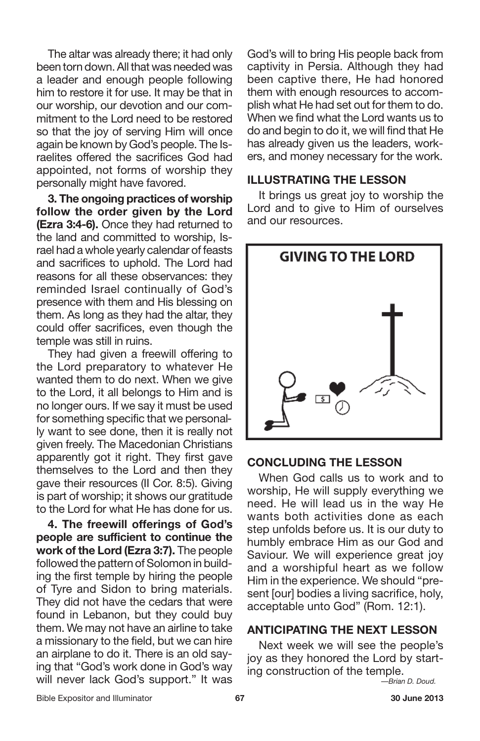The altar was already there; it had only been torn down. All that was needed was a leader and enough people following him to restore it for use. It may be that in our worship, our devotion and our commitment to the Lord need to be restored so that the joy of serving Him will once again be known by God's people. The Israelites offered the sacrifices God had appointed, not forms of worship they personally might have favored.

**3. The ongoing practices of worship follow the order given by the Lord (Ezra 3:4-6).** Once they had returned to the land and committed to worship, Israel had a whole yearly calendar of feasts and sacrifices to uphold. The Lord had reasons for all these observances: they reminded Israel continually of God's presence with them and His blessing on them. As long as they had the altar, they could offer sacrifices, even though the temple was still in ruins.

They had given a freewill offering to the Lord preparatory to whatever He wanted them to do next. When we give to the Lord, it all belongs to Him and is no longer ours. If we say it must be used for something specific that we personally want to see done, then it is really not given freely. The Macedonian Christians apparently got it right. They first gave themselves to the Lord and then they gave their resources (II Cor. 8:5). Giving is part of worship; it shows our gratitude to the Lord for what He has done for us.

**4. The freewill offerings of God's people are sufficient to continue the work of the Lord (Ezra 3:7).** The people followed the pattern of Solomon in building the first temple by hiring the people of Tyre and Sidon to bring materials. They did not have the cedars that were found in Lebanon, but they could buy them. We may not have an airline to take a missionary to the field, but we can hire an airplane to do it. There is an old saying that "God's work done in God's way will never lack God's support." It was

God's will to bring His people back from captivity in Persia. Although they had been captive there, He had honored them with enough resources to accomplish what He had set out for them to do. When we find what the Lord wants us to do and begin to do it, we will find that He has already given us the leaders, workers, and money necessary for the work.

#### **ILLUSTRATING THE LESSON**

It brings us great joy to worship the Lord and to give to Him of ourselves and our resources.

![](_page_9_Figure_7.jpeg)

#### **CONCLUDING THE LESSON**

When God calls us to work and to worship, He will supply everything we need. He will lead us in the way He wants both activities done as each step unfolds before us. It is our duty to humbly embrace Him as our God and Saviour. We will experience great joy and a worshipful heart as we follow Him in the experience. We should "present [our] bodies a living sacrifice, holy, acceptable unto God" (Rom. 12:1).

### **ANTICIPATING THE NEXT LESSON**

Next week we will see the people's joy as they honored the Lord by starting construction of the temple.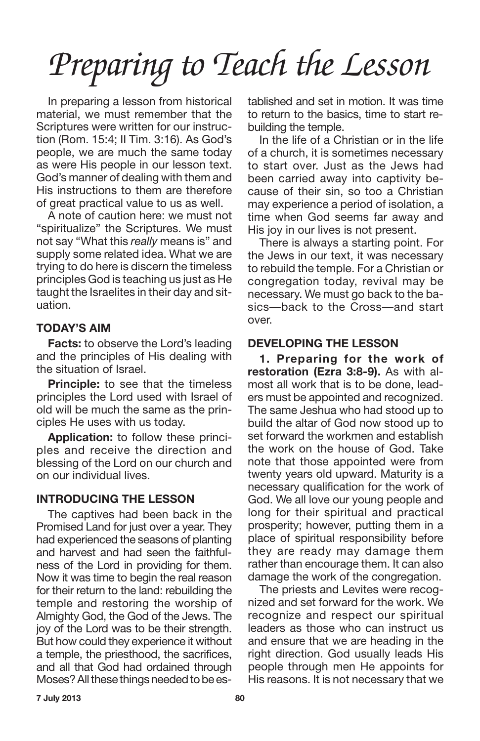In preparing a lesson from historical material, we must remember that the Scriptures were written for our instruction (Rom. 15:4; II Tim. 3:16). As God's people, we are much the same today as were His people in our lesson text. God's manner of dealing with them and His instructions to them are therefore of great practical value to us as well.

A note of caution here: we must not "spiritualize" the Scriptures. We must not say "What this *really* means is" and supply some related idea. What we are trying to do here is discern the timeless principles God is teaching us just as He taught the Israelites in their day and situation.

## **TODAY'S AIM**

**Facts:** to observe the Lord's leading and the principles of His dealing with the situation of Israel.

**Principle:** to see that the timeless principles the Lord used with Israel of old will be much the same as the principles He uses with us today.

**Application:** to follow these principles and receive the direction and blessing of the Lord on our church and on our individual lives.

## **INTRODUCING THE LESSON**

The captives had been back in the Promised Land for just over a year. They had experienced the seasons of planting and harvest and had seen the faithfulness of the Lord in providing for them. Now it was time to begin the real reason for their return to the land: rebuilding the temple and restoring the worship of Almighty God, the God of the Jews. The joy of the Lord was to be their strength. But how could they experience it without a temple, the priesthood, the sacrifices, and all that God had ordained through Moses? All these things needed to be established and set in motion. It was time to return to the basics, time to start rebuilding the temple.

In the life of a Christian or in the life of a church, it is sometimes necessary to start over. Just as the Jews had been carried away into captivity because of their sin, so too a Christian may experience a period of isolation, a time when God seems far away and His joy in our lives is not present.

There is always a starting point. For the Jews in our text, it was necessary to rebuild the temple. For a Christian or congregation today, revival may be necessary. We must go back to the basics—back to the Cross—and start over.

## **DEVELOPING THE LESSON**

**1. Preparing for the work of restoration (Ezra 3:8-9).** As with almost all work that is to be done, leaders must be appointed and recognized. The same Jeshua who had stood up to build the altar of God now stood up to set forward the workmen and establish the work on the house of God. Take note that those appointed were from twenty years old upward. Maturity is a necessary qualification for the work of God. We all love our young people and long for their spiritual and practical prosperity; however, putting them in a place of spiritual responsibility before they are ready may damage them rather than encourage them. It can also damage the work of the congregation.

The priests and Levites were recognized and set forward for the work. We recognize and respect our spiritual leaders as those who can instruct us and ensure that we are heading in the right direction. God usually leads His people through men He appoints for His reasons. It is not necessary that we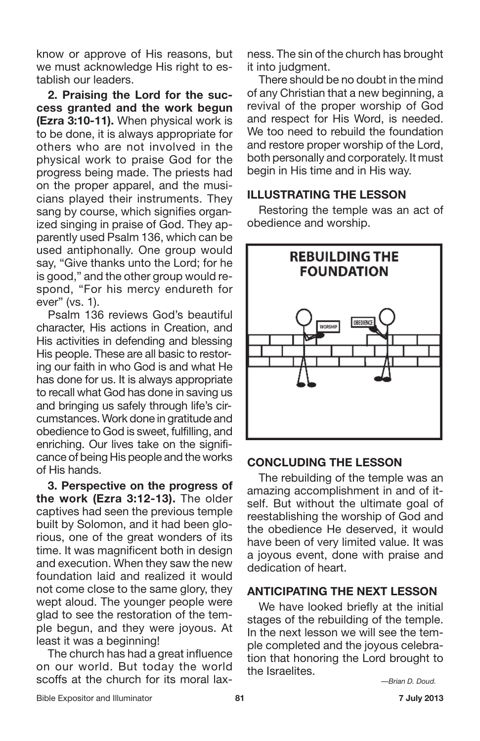know or approve of His reasons, but we must acknowledge His right to establish our leaders.

**2. Praising the Lord for the success granted and the work begun (Ezra 3:10-11).** When physical work is to be done, it is always appropriate for others who are not involved in the physical work to praise God for the progress being made. The priests had on the proper apparel, and the musicians played their instruments. They sang by course, which signifies organized singing in praise of God. They apparently used Psalm 136, which can be used antiphonally. One group would say, "Give thanks unto the Lord; for he is good," and the other group would respond, "For his mercy endureth for ever" (vs. 1).

Psalm 136 reviews God's beautiful character, His actions in Creation, and His activities in defending and blessing His people. These are all basic to restoring our faith in who God is and what He has done for us. It is always appropriate to recall what God has done in saving us and bringing us safely through life's circumstances. Work done in gratitude and obedience to God is sweet, fulfilling, and enriching. Our lives take on the significance of being His people and the works of His hands.

**3. Perspective on the progress of the work (Ezra 3:12-13).** The older captives had seen the previous temple built by Solomon, and it had been glorious, one of the great wonders of its time. It was magnificent both in design and execution. When they saw the new foundation laid and realized it would not come close to the same glory, they wept aloud. The younger people were glad to see the restoration of the temple begun, and they were joyous. At least it was a beginning!

The church has had a great influence on our world. But today the world scoffs at the church for its moral laxness. The sin of the church has brought it into judament.

There should be no doubt in the mind of any Christian that a new beginning, a revival of the proper worship of God and respect for His Word, is needed. We too need to rebuild the foundation and restore proper worship of the Lord, both personally and corporately. It must begin in His time and in His way.

## **ILLUSTRATING THE LESSON**

Restoring the temple was an act of obedience and worship.

![](_page_11_Figure_9.jpeg)

### **CONCLUDING THE LESSON**

The rebuilding of the temple was an amazing accomplishment in and of itself. But without the ultimate goal of reestablishing the worship of God and the obedience He deserved, it would have been of very limited value. It was a joyous event, done with praise and dedication of heart.

### **ANTICIPATING THE NEXT LESSON**

We have looked briefly at the initial stages of the rebuilding of the temple. In the next lesson we will see the temple completed and the joyous celebration that honoring the Lord brought to the Israelites.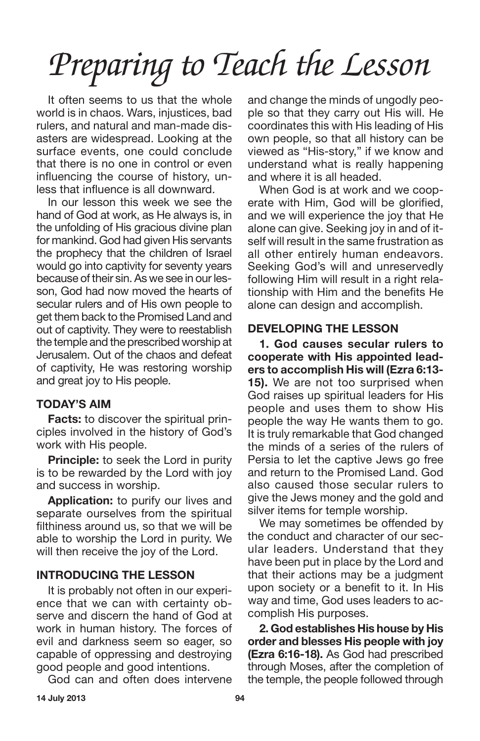It often seems to us that the whole world is in chaos. Wars, injustices, bad rulers, and natural and man-made disasters are widespread. Looking at the surface events, one could conclude that there is no one in control or even influencing the course of history, unless that influence is all downward.

In our lesson this week we see the hand of God at work, as He always is, in the unfolding of His gracious divine plan for mankind. God had given His servants the prophecy that the children of Israel would go into captivity for seventy years because of their sin. As we see in our lesson, God had now moved the hearts of secular rulers and of His own people to get them back to the Promised Land and out of captivity. They were to reestablish the temple and the prescribed worship at Jerusalem. Out of the chaos and defeat of captivity, He was restoring worship and great joy to His people.

## **TODAY'S AIM**

**Facts:** to discover the spiritual principles involved in the history of God's work with His people.

**Principle:** to seek the Lord in purity is to be rewarded by the Lord with joy and success in worship.

**Application:** to purify our lives and separate ourselves from the spiritual filthiness around us, so that we will be able to worship the Lord in purity. We will then receive the joy of the Lord.

## **INTRODUCING THE LESSON**

It is probably not often in our experience that we can with certainty observe and discern the hand of God at work in human history. The forces of evil and darkness seem so eager, so capable of oppressing and destroying good people and good intentions.

God can and often does intervene

and change the minds of ungodly people so that they carry out His will. He coordinates this with His leading of His own people, so that all history can be viewed as "His-story," if we know and understand what is really happening and where it is all headed.

When God is at work and we cooperate with Him, God will be glorified, and we will experience the joy that He alone can give. Seeking joy in and of itself will result in the same frustration as all other entirely human endeavors. Seeking God's will and unreservedly following Him will result in a right relationship with Him and the benefits He alone can design and accomplish.

# **DEVELOPING THE LESSON**

**1. God causes secular rulers to cooperate with His appointed leaders to accomplish His will (Ezra 6:13- 15).** We are not too surprised when God raises up spiritual leaders for His people and uses them to show His people the way He wants them to go. It is truly remarkable that God changed the minds of a series of the rulers of Persia to let the captive Jews go free and return to the Promised Land. God also caused those secular rulers to give the Jews money and the gold and silver items for temple worship.

We may sometimes be offended by the conduct and character of our secular leaders. Understand that they have been put in place by the Lord and that their actions may be a judgment upon society or a benefit to it. In His way and time, God uses leaders to accomplish His purposes.

**2. God establishes His house by His order and blesses His people with joy (Ezra 6:16-18).** As God had prescribed through Moses, after the completion of the temple, the people followed through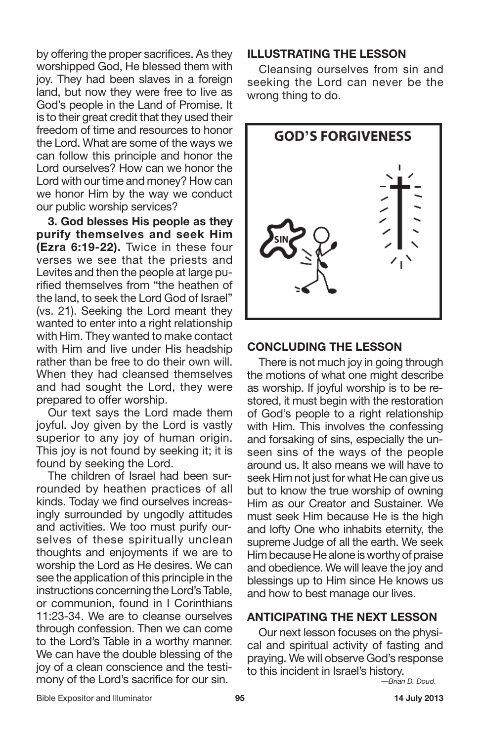by offering the proper sacrifices. As they worshipped God, He blessed them with joy. They had been slaves in a foreign land, but now they were free to live as God's people in the Land of Promise. It is to their great credit that they used their freedom of time and resources to honor the Lord. What are some of the ways we can follow this principle and honor the Lord ourselves? How can we honor the Lord with our time and money? How can we honor Him by the way we conduct our public worship services?

**3. God blesses His people as they purify themselves and seek Him (Ezra 6:19-22).** Twice in these four verses we see that the priests and Levites and then the people at large purified themselves from "the heathen of the land, to seek the Lord God of Israel" (vs. 21). Seeking the Lord meant they wanted to enter into a right relationship with Him. They wanted to make contact with Him and live under His headship rather than be free to do their own will. When they had cleansed themselves and had sought the Lord, they were prepared to offer worship.

Our text says the Lord made them joyful. Joy given by the Lord is vastly superior to any joy of human origin. This joy is not found by seeking it; it is found by seeking the Lord.

The children of Israel had been surrounded by heathen practices of all kinds. Today we find ourselves increasingly surrounded by ungodly attitudes and activities. We too must purify ourselves of these spiritually unclean thoughts and enjoyments if we are to worship the Lord as He desires. We can see the application of this principle in the instructions concerning the Lord's Table, or communion, found in I Corinthians 11:23-34. We are to cleanse ourselves through confession. Then we can come to the Lord's Table in a worthy manner. We can have the double blessing of the joy of a clean conscience and the testimony of the Lord's sacrifice for our sin.

### **ILLUSTRATING THE LESSON**

Cleansing ourselves from sin and seeking the Lord can never be the wrong thing to do.

![](_page_13_Figure_6.jpeg)

### **CONCLUDING THE LESSON**

There is not much joy in going through the motions of what one might describe as worship. If joyful worship is to be restored, it must begin with the restoration of God's people to a right relationship with Him. This involves the confessing and forsaking of sins, especially the unseen sins of the ways of the people around us. It also means we will have to seek Him not just for what He can give us but to know the true worship of owning Him as our Creator and Sustainer. We must seek Him because He is the high and lofty One who inhabits eternity, the supreme Judge of all the earth. We seek Him because He alone is worthy of praise and obedience. We will leave the joy and blessings up to Him since He knows us and how to best manage our lives.

## **ANTICIPATING THE NEXT LESSON**

Our next lesson focuses on the physical and spiritual activity of fasting and praying. We will observe God's response to this incident in Israel's history.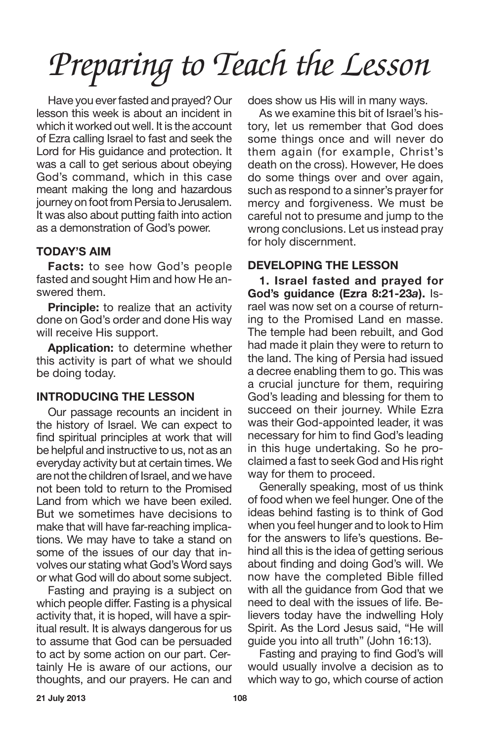Have you everfasted and prayed? Our lesson this week is about an incident in which it worked out well. It is the account of Ezra calling Israel to fast and seek the Lord for His guidance and protection. It was a call to get serious about obeying God's command, which in this case meant making the long and hazardous journey on foot from Persia to Jerusalem. It was also about putting faith into action as a demonstration of God's power.

## **TODAY'S AIM**

**Facts:** to see how God's people fasted and sought Him and how He answered them.

**Principle:** to realize that an activity done on God's order and done His way will receive His support.

**Application:** to determine whether this activity is part of what we should be doing today.

## **INTRODUCING THE LESSON**

Our passage recounts an incident in the history of Israel. We can expect to find spiritual principles at work that will be helpful and instructive to us, not as an everyday activity but at certain times. We are not the children of Israel, and we have not been told to return to the Promised Land from which we have been exiled. But we sometimes have decisions to make that will have far-reaching implications. We may have to take a stand on some of the issues of our day that involves our stating what God's Word says or what God will do about some subject.

Fasting and praying is a subject on which people differ. Fasting is a physical activity that, it is hoped, will have a spiritual result. It is always dangerous for us to assume that God can be persuaded to act by some action on our part. Certainly He is aware of our actions, our thoughts, and our prayers. He can and does show us His will in many ways.

As we examine this bit of Israel's history, let us remember that God does some things once and will never do them again (for example, Christ's death on the cross). However, He does do some things over and over again, such as respond to a sinner's prayer for mercy and forgiveness. We must be careful not to presume and jump to the wrong conclusions. Let us instead pray for holy discernment.

## **DEVELOPING THE LESSON**

**1. Israel fasted and prayed for God's guidance (Ezra 8:21-23***a***).** Israel was now set on a course of returning to the Promised Land en masse. The temple had been rebuilt, and God had made it plain they were to return to the land. The king of Persia had issued a decree enabling them to go. This was a crucial juncture for them, requiring God's leading and blessing for them to succeed on their journey. While Ezra was their God-appointed leader, it was necessary for him to find God's leading in this huge undertaking. So he proclaimed a fast to seek God and His right way for them to proceed.

Generally speaking, most of us think of food when we feel hunger. One of the ideas behind fasting is to think of God when you feel hunger and to look to Him for the answers to life's questions. Behind all this is the idea of getting serious about finding and doing God's will. We now have the completed Bible filled with all the guidance from God that we need to deal with the issues of life. Believers today have the indwelling Holy Spirit. As the Lord Jesus said, "He will guide you into all truth" (John 16:13).

Fasting and praying to find God's will would usually involve a decision as to which way to go, which course of action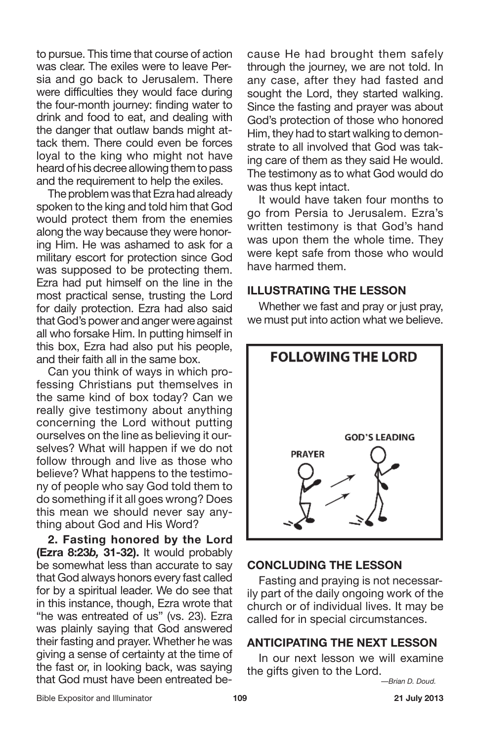to pursue. This time that course of action was clear. The exiles were to leave Persia and go back to Jerusalem. There were difficulties they would face during the four-month journey: finding water to drink and food to eat, and dealing with the danger that outlaw bands might attack them. There could even be forces loyal to the king who might not have heard of his decree allowing them to pass and the requirement to help the exiles.

The problem was that Ezra had already spoken to the king and told him that God would protect them from the enemies along the way because they were honoring Him. He was ashamed to ask for a military escort for protection since God was supposed to be protecting them. Ezra had put himself on the line in the most practical sense, trusting the Lord for daily protection. Ezra had also said that God's power and anger were against all who forsake Him. In putting himself in this box, Ezra had also put his people, and their faith all in the same box.

Can you think of ways in which professing Christians put themselves in the same kind of box today? Can we really give testimony about anything concerning the Lord without putting ourselves on the line as believing it ourselves? What will happen if we do not follow through and live as those who believe? What happens to the testimony of people who say God told them to do something if it all goes wrong? Does this mean we should never say anything about God and His Word?

**2. Fasting honored by the Lord (Ezra 8:23***b,* **31-32).** It would probably be somewhat less than accurate to say that God always honors every fast called for by a spiritual leader. We do see that in this instance, though, Ezra wrote that "he was entreated of us" (vs. 23). Ezra was plainly saying that God answered their fasting and prayer. Whether he was giving a sense of certainty at the time of the fast or, in looking back, was saying that God must have been entreated because He had brought them safely through the journey, we are not told. In any case, after they had fasted and sought the Lord, they started walking. Since the fasting and prayer was about God's protection of those who honored Him, they had to start walking to demonstrate to all involved that God was taking care of them as they said He would. The testimony as to what God would do was thus kept intact.

It would have taken four months to go from Persia to Jerusalem. Ezra's written testimony is that God's hand was upon them the whole time. They were kept safe from those who would have harmed them.

### **ILLUSTRATING THE LESSON**

Whether we fast and pray or just pray, we must put into action what we believe.

![](_page_15_Figure_8.jpeg)

### **CONCLUDING THE LESSON**

Fasting and praying is not necessarily part of the daily ongoing work of the church or of individual lives. It may be called for in special circumstances.

### **ANTICIPATING THE NEXT LESSON**

In our next lesson we will examine the gifts given to the Lord.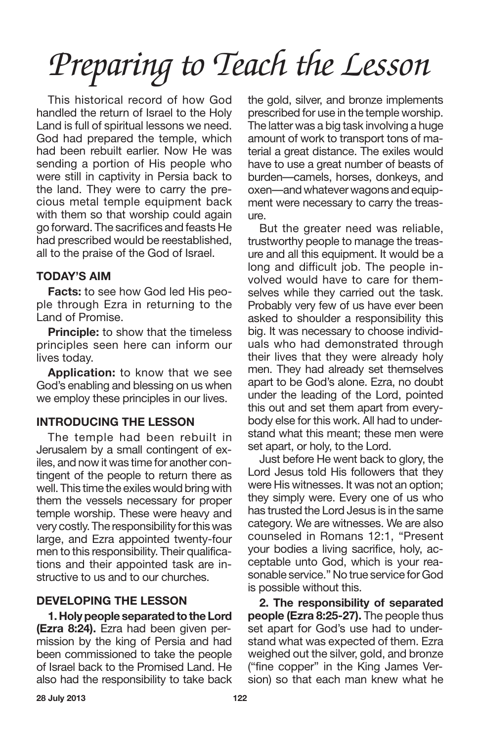This historical record of how God handled the return of Israel to the Holy Land is full of spiritual lessons we need. God had prepared the temple, which had been rebuilt earlier. Now He was sending a portion of His people who were still in captivity in Persia back to the land. They were to carry the precious metal temple equipment back with them so that worship could again go forward. The sacrifices and feasts He had prescribed would be reestablished, all to the praise of the God of Israel.

## **TODAY'S AIM**

**Facts:** to see how God led His people through Ezra in returning to the Land of Promise.

**Principle:** to show that the timeless principles seen here can inform our lives today.

**Application:** to know that we see God's enabling and blessing on us when we employ these principles in our lives.

## **INTRODUCING THE LESSON**

The temple had been rebuilt in Jerusalem by a small contingent of exiles, and now it was time for another contingent of the people to return there as well. This time the exiles would bring with them the vessels necessary for proper temple worship. These were heavy and very costly.The responsibility forthiswas large, and Ezra appointed twenty-four men to this responsibility. Their qualifications and their appointed task are instructive to us and to our churches.

## **DEVELOPING THE LESSON**

**1.HolypeopleseparatedtotheLord (Ezra 8:24).** Ezra had been given permission by the king of Persia and had been commissioned to take the people of Israel back to the Promised Land. He also had the responsibility to take back the gold, silver, and bronze implements prescribed for use in the temple worship. The latter was a big task involving a huge amount of work to transport tons of material a great distance. The exiles would have to use a great number of beasts of burden—camels, horses, donkeys, and oxen—and whatever wagons and equipment were necessary to carry the treasure.

But the greater need was reliable, trustworthy people to manage the treasure and all this equipment. It would be a long and difficult job. The people involved would have to care for themselves while they carried out the task. Probably very few of us have ever been asked to shoulder a responsibility this big. It was necessary to choose individuals who had demonstrated through their lives that they were already holy men. They had already set themselves apart to be God's alone. Ezra, no doubt under the leading of the Lord, pointed this out and set them apart from everybody else for this work. All had to understand what this meant; these men were set apart, or holy, to the Lord.

Just before He went back to glory, the Lord Jesus told His followers that they were His witnesses. It was not an option; they simply were. Every one of us who has trusted the Lord Jesus is in the same category. We are witnesses. We are also counseled in Romans 12:1, "Present your bodies a living sacrifice, holy, acceptable unto God, which is your reasonable service." No true service for God is possible without this.

**2. The responsibility of separated people (Ezra 8:25-27).** The people thus set apart for God's use had to understand what was expected of them. Ezra weighed out the silver, gold, and bronze ("fine copper" in the King James Version) so that each man knew what he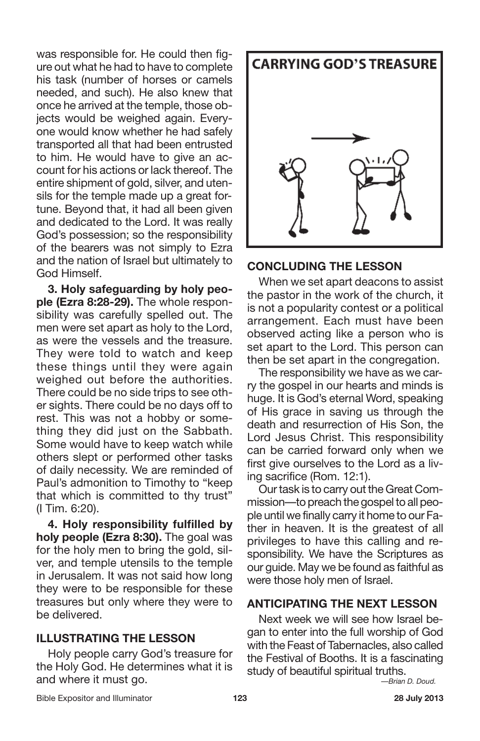was responsible for. He could then figure out what he had to have to complete his task (number of horses or camels needed, and such). He also knew that once he arrived at the temple, those objects would be weighed again. Everyone would know whether he had safely transported all that had been entrusted to him. He would have to give an account for his actions or lack thereof. The entire shipment of gold, silver, and utensils for the temple made up a great fortune. Beyond that, it had all been given and dedicated to the Lord. It was really God's possession; so the responsibility of the bearers was not simply to Ezra and the nation of Israel but ultimately to God Himself.

**3. Holy safeguarding by holy people (Ezra 8:28-29).** The whole responsibility was carefully spelled out. The men were set apart as holy to the Lord, as were the vessels and the treasure. They were told to watch and keep these things until they were again weighed out before the authorities. There could be no side trips to see other sights. There could be no days off to rest. This was not a hobby or something they did just on the Sabbath. Some would have to keep watch while others slept or performed other tasks of daily necessity. We are reminded of Paul's admonition to Timothy to "keep that which is committed to thy trust" (I Tim. 6:20).

**4. Holy responsibility fulfilled by holy people (Ezra 8:30).** The goal was for the holy men to bring the gold, silver, and temple utensils to the temple in Jerusalem. It was not said how long they were to be responsible for these treasures but only where they were to be delivered.

## **ILLUSTRATING THE LESSON**

Holy people carry God's treasure for the Holy God. He determines what it is and where it must go.

![](_page_17_Picture_5.jpeg)

# **CONCLUDING THE LESSON**

When we set apart deacons to assist the pastor in the work of the church, it is not a popularity contest or a political arrangement. Each must have been observed acting like a person who is set apart to the Lord. This person can then be set apart in the congregation.

The responsibility we have as we carry the gospel in our hearts and minds is huge. It is God's eternal Word, speaking of His grace in saving us through the death and resurrection of His Son, the Lord Jesus Christ. This responsibility can be carried forward only when we first give ourselves to the Lord as a living sacrifice (Rom. 12:1).

Our task is to carry out the Great Commission—to preach the gospel to all people until we finally carry it home to our Father in heaven. It is the greatest of all privileges to have this calling and responsibility. We have the Scriptures as our guide. May we be found as faithful as were those holy men of Israel.

### **ANTICIPATING THE NEXT LESSON**

Next week we will see how Israel began to enter into the full worship of God with the Feast of Tabernacles, also called the Festival of Booths. It is a fascinating study of beautiful spiritual truths.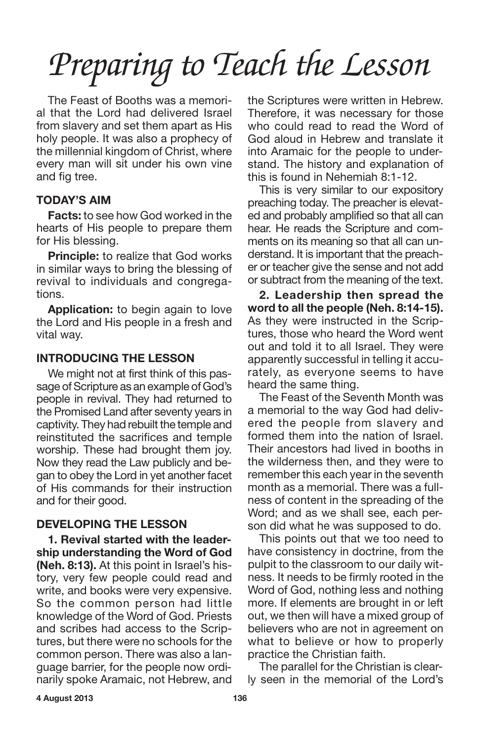The Feast of Booths was a memorial that the Lord had delivered Israel from slavery and set them apart as His holy people. It was also a prophecy of the millennial kingdom of Christ, where every man will sit under his own vine and fig tree.

### **TODAY'S AIM**

**Facts:** to see how God worked in the hearts of His people to prepare them for His blessing.

**Principle:** to realize that God works in similar ways to bring the blessing of revival to individuals and congregations.

**Application:** to begin again to love the Lord and His people in a fresh and vital way.

### **INTRODUCING THE LESSON**

We might not at first think of this passage of Scripture as an example of God's people in revival. They had returned to the Promised Land after seventy years in captivity. They had rebuilt the temple and reinstituted the sacrifices and temple worship. These had brought them joy. Now they read the Law publicly and began to obey the Lord in yet another facet of His commands for their instruction and for their good.

#### **DEVELOPING THE LESSON**

**1. Revival started with the leadership understanding the Word of God (Neh. 8:13).** At this point in Israel's history, very few people could read and write, and books were very expensive. So the common person had little knowledge of the Word of God. Priests and scribes had access to the Scriptures, but there were no schools for the common person. There was also a language barrier, for the people now ordinarily spoke Aramaic, not Hebrew, and the Scriptures were written in Hebrew. Therefore, it was necessary for those who could read to read the Word of God aloud in Hebrew and translate it into Aramaic for the people to understand. The history and explanation of this is found in Nehemiah 8:1-12.

This is very similar to our expository preaching today. The preacher is elevated and probably amplified so that all can hear. He reads the Scripture and comments on its meaning so that all can understand. It is important that the preacher or teacher give the sense and not add or subtract from the meaning of the text.

**2. Leadership then spread the word to all the people (Neh. 8:14-15).** As they were instructed in the Scriptures, those who heard the Word went out and told it to all Israel. They were apparently successful in telling it accurately, as everyone seems to have heard the same thing.

The Feast of the Seventh Month was a memorial to the way God had delivered the people from slavery and formed them into the nation of Israel. Their ancestors had lived in booths in the wilderness then, and they were to remember this each year in the seventh month as a memorial. There was a fullness of content in the spreading of the Word; and as we shall see, each person did what he was supposed to do.

This points out that we too need to have consistency in doctrine, from the pulpit to the classroom to our daily witness. It needs to be firmly rooted in the Word of God, nothing less and nothing more. If elements are brought in or left out, we then will have a mixed group of believers who are not in agreement on what to believe or how to properly practice the Christian faith.

The parallel for the Christian is clearly seen in the memorial of the Lord's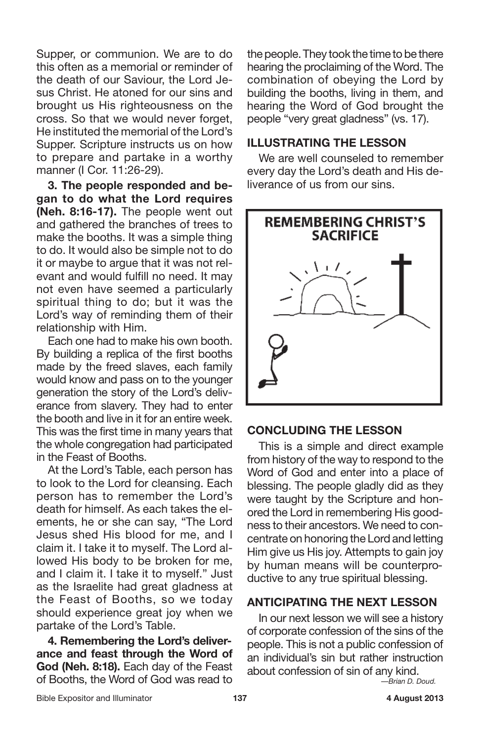Supper, or communion. We are to do this often as a memorial or reminder of the death of our Saviour, the Lord Jesus Christ. He atoned for our sins and brought us His righteousness on the cross. So that we would never forget, He instituted the memorial of the Lord's Supper. Scripture instructs us on how to prepare and partake in a worthy manner (I Cor. 11:26-29).

**3. The people responded and began to do what the Lord requires (Neh. 8:16-17).** The people went out and gathered the branches of trees to make the booths. It was a simple thing to do. It would also be simple not to do it or maybe to argue that it was not relevant and would fulfill no need. It may not even have seemed a particularly spiritual thing to do; but it was the Lord's way of reminding them of their relationship with Him.

Each one had to make his own booth. By building a replica of the first booths made by the freed slaves, each family would know and pass on to the younger generation the story of the Lord's deliverance from slavery. They had to enter the booth and live in it for an entire week. This was the first time in many years that the whole congregation had participated in the Feast of Booths.

At the Lord's Table, each person has to look to the Lord for cleansing. Each person has to remember the Lord's death for himself. As each takes the elements, he or she can say, "The Lord Jesus shed His blood for me, and I claim it. I take it to myself. The Lord allowed His body to be broken for me, and I claim it. I take it to myself." Just as the Israelite had great gladness at the Feast of Booths, so we today should experience great joy when we partake of the Lord's Table.

**4. Remembering the Lord's deliverance and feast through the Word of God (Neh. 8:18).** Each day of the Feast of Booths, the Word of God was read to

the people. They took the time to be there hearing the proclaiming of the Word. The combination of obeying the Lord by building the booths, living in them, and hearing the Word of God brought the people "very great gladness" (vs. 17).

## **ILLUSTRATING THE LESSON**

We are well counseled to remember every day the Lord's death and His deliverance of us from our sins.

![](_page_19_Picture_8.jpeg)

## **CONCLUDING THE LESSON**

This is a simple and direct example from history of the way to respond to the Word of God and enter into a place of blessing. The people gladly did as they were taught by the Scripture and honored the Lord in remembering His goodness to their ancestors. We need to concentrate on honoring the Lord and letting Him give us His joy. Attempts to gain joy by human means will be counterproductive to any true spiritual blessing.

### **ANTICIPATING THE NEXT LESSON**

In our next lesson we will see a history of corporate confession of the sins of the people. This is not a public confession of an individual's sin but rather instruction about confession of sin of any kind.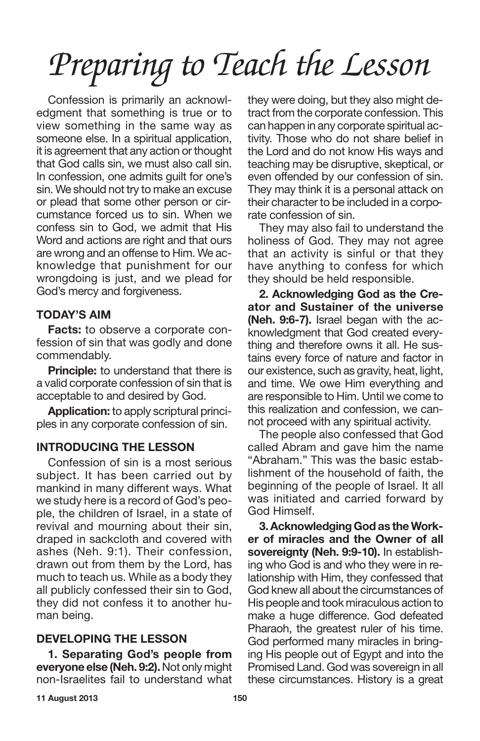Confession is primarily an acknowledgment that something is true or to view something in the same way as someone else. In a spiritual application, it is agreement that any action or thought that God calls sin, we must also call sin. In confession, one admits guilt for one's sin. We should not try to make an excuse or plead that some other person or circumstance forced us to sin. When we confess sin to God, we admit that His Word and actions are right and that ours are wrong and an offense to Him. We acknowledge that punishment for our wrongdoing is just, and we plead for God's mercy and forgiveness.

## **TODAY'S AIM**

**Facts:** to observe a corporate confession of sin that was godly and done commendably.

**Principle:** to understand that there is a valid corporate confession of sin that is acceptable to and desired by God.

**Application:** to apply scriptural principles in any corporate confession of sin.

### **INTRODUCING THE LESSON**

Confession of sin is a most serious subject. It has been carried out by mankind in many different ways. What we study here is a record of God's people, the children of Israel, in a state of revival and mourning about their sin, draped in sackcloth and covered with ashes (Neh. 9:1). Their confession, drawn out from them by the Lord, has much to teach us. While as a body they all publicly confessed their sin to God, they did not confess it to another human being.

## **DEVELOPING THE LESSON**

**1. Separating God's people from everyone else (Neh. 9:2).** Not only might non-Israelites fail to understand what they were doing, but they also might detract from the corporate confession. This can happen in any corporate spiritual activity. Those who do not share belief in the Lord and do not know His ways and teaching may be disruptive, skeptical, or even offended by our confession of sin. They may think it is a personal attack on their character to be included in a corporate confession of sin.

They may also fail to understand the holiness of God. They may not agree that an activity is sinful or that they have anything to confess for which they should be held responsible.

**2. Acknowledging God as the Creator and Sustainer of the universe (Neh. 9:6-7).** Israel began with the acknowledgment that God created everything and therefore owns it all. He sustains every force of nature and factor in our existence, such as gravity, heat, light, and time. We owe Him everything and are responsible to Him. Until we come to this realization and confession, we cannot proceed with any spiritual activity.

The people also confessed that God called Abram and gave him the name "Abraham." This was the basic establishment of the household of faith, the beginning of the people of Israel. It all was initiated and carried forward by God Himself.

**3.Acknowledging God as theWorker of miracles and the Owner of all sovereignty (Neh. 9:9-10).** In establishing who God is and who they were in relationship with Him, they confessed that God knew all about the circumstances of His people and took miraculous action to make a huge difference. God defeated Pharaoh, the greatest ruler of his time. God performed many miracles in bringing His people out of Egypt and into the Promised Land. God was sovereign in all these circumstances. History is a great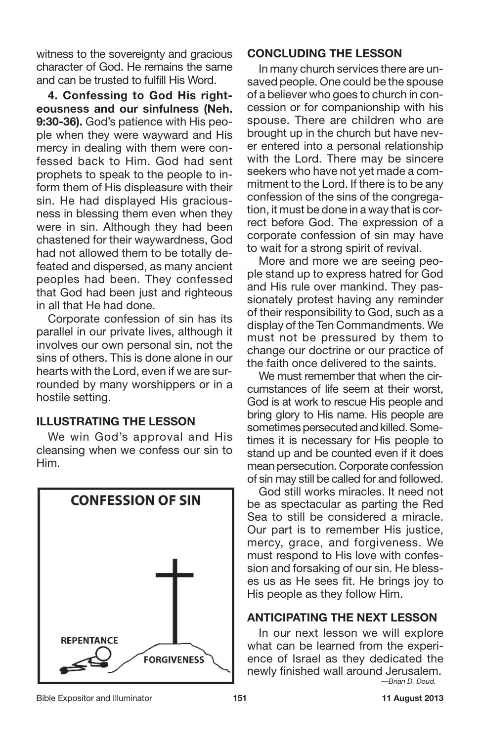witness to the sovereignty and gracious character of God. He remains the same and can be trusted to fulfill His Word.

**4. Confessing to God His righteousness and our sinfulness (Neh. 9:30-36).** God's patience with His people when they were wayward and His mercy in dealing with them were confessed back to Him. God had sent prophets to speak to the people to inform them of His displeasure with their sin. He had displayed His graciousness in blessing them even when they were in sin. Although they had been chastened for their waywardness, God had not allowed them to be totally defeated and dispersed, as many ancient peoples had been. They confessed that God had been just and righteous in all that He had done.

Corporate confession of sin has its parallel in our private lives, although it involves our own personal sin, not the sins of others. This is done alone in our hearts with the Lord, even if we are surrounded by many worshippers or in a hostile setting.

## **ILLUSTRATING THE LESSON**

We win God's approval and His cleansing when we confess our sin to Him.

![](_page_21_Picture_5.jpeg)

### **CONCLUDING THE LESSON**

In many church services there are unsaved people. One could be the spouse of a believer who goes to church in concession or for companionship with his spouse. There are children who are brought up in the church but have never entered into a personal relationship with the Lord. There may be sincere seekers who have not yet made a commitment to the Lord. If there is to be any confession of the sins of the congregation, it must be done in a way that is correct before God. The expression of a corporate confession of sin may have to wait for a strong spirit of revival.

More and more we are seeing people stand up to express hatred for God and His rule over mankind. They passionately protest having any reminder of their responsibility to God, such as a display of the Ten Commandments. We must not be pressured by them to change our doctrine or our practice of the faith once delivered to the saints.

We must remember that when the circumstances of life seem at their worst, God is at work to rescue His people and bring glory to His name. His people are sometimes persecuted and killed. Sometimes it is necessary for His people to stand up and be counted even if it does mean persecution. Corporate confession of sin may still be called for and followed.

God still works miracles. It need not be as spectacular as parting the Red Sea to still be considered a miracle. Our part is to remember His justice, mercy, grace, and forgiveness. We must respond to His love with confession and forsaking of our sin. He blesses us as He sees fit. He brings joy to His people as they follow Him.

## **ANTICIPATING THE NEXT LESSON**

In our next lesson we will explore what can be learned from the experience of Israel as they dedicated the newly finished wall around Jerusalem. *—Brian D. Doud.*

Bible Expositor and Illuminator **151 11 August 2013**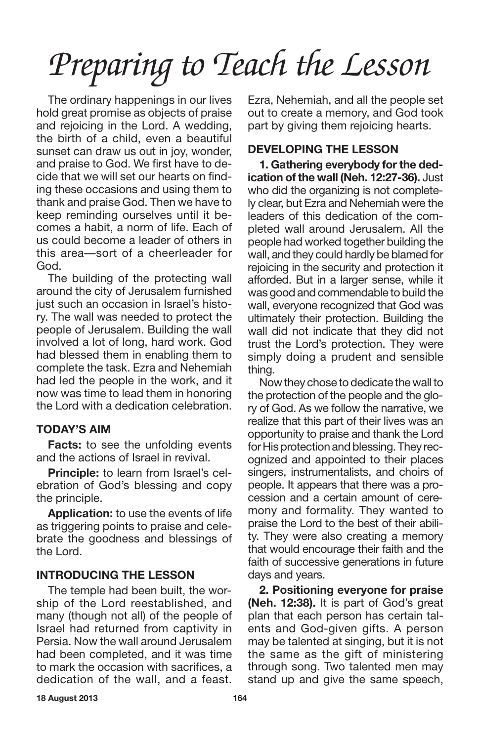The ordinary happenings in our lives hold great promise as objects of praise and rejoicing in the Lord. A wedding, the birth of a child, even a beautiful sunset can draw us out in joy, wonder, and praise to God. We first have to decide that we will set our hearts on finding these occasions and using them to thank and praise God. Then we have to keep reminding ourselves until it becomes a habit, a norm of life. Each of us could become a leader of others in this area—sort of a cheerleader for God.

The building of the protecting wall around the city of Jerusalem furnished just such an occasion in Israel's history. The wall was needed to protect the people of Jerusalem. Building the wall involved a lot of long, hard work. God had blessed them in enabling them to complete the task. Ezra and Nehemiah had led the people in the work, and it now was time to lead them in honoring the Lord with a dedication celebration.

# **TODAY'S AIM**

**Facts:** to see the unfolding events and the actions of Israel in revival.

**Principle:** to learn from Israel's celebration of God's blessing and copy the principle.

**Application:** to use the events of life as triggering points to praise and celebrate the goodness and blessings of the Lord.

## **INTRODUCING THE LESSON**

The temple had been built, the worship of the Lord reestablished, and many (though not all) of the people of Israel had returned from captivity in Persia. Now the wall around Jerusalem had been completed, and it was time to mark the occasion with sacrifices, a dedication of the wall, and a feast. Ezra, Nehemiah, and all the people set out to create a memory, and God took part by giving them rejoicing hearts.

# **DEVELOPING THE LESSON**

**1. Gathering everybody for the dedication of the wall (Neh. 12:27-36).** Just who did the organizing is not completely clear, but Ezra and Nehemiah were the leaders of this dedication of the completed wall around Jerusalem. All the people had worked together building the wall, and they could hardly be blamed for rejoicing in the security and protection it afforded. But in a larger sense, while it was good and commendable to build the wall, everyone recognized that God was ultimately their protection. Building the wall did not indicate that they did not trust the Lord's protection. They were simply doing a prudent and sensible thing.

Now they chose to dedicate the wall to the protection of the people and the glory of God. As we follow the narrative, we realize that this part of their lives was an opportunity to praise and thank the Lord for His protection and blessing. They recognized and appointed to their places singers, instrumentalists, and choirs of people. It appears that there was a procession and a certain amount of ceremony and formality. They wanted to praise the Lord to the best of their ability. They were also creating a memory that would encourage their faith and the faith of successive generations in future days and years.

**2. Positioning everyone for praise (Neh. 12:38).** It is part of God's great plan that each person has certain talents and God-given gifts. A person may be talented at singing, but it is not the same as the gift of ministering through song. Two talented men may stand up and give the same speech,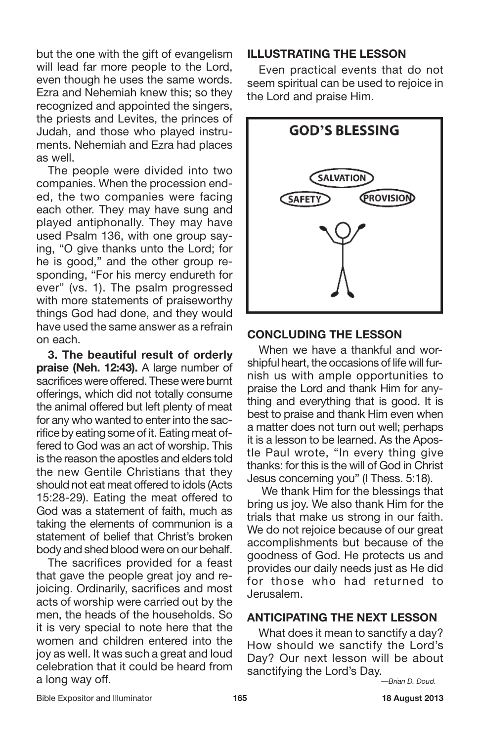but the one with the gift of evangelism will lead far more people to the Lord, even though he uses the same words. Ezra and Nehemiah knew this; so they recognized and appointed the singers, the priests and Levites, the princes of Judah, and those who played instruments. Nehemiah and Ezra had places as well.

The people were divided into two companies. When the procession ended, the two companies were facing each other. They may have sung and played antiphonally. They may have used Psalm 136, with one group saying, "O give thanks unto the Lord; for he is good," and the other group responding, "For his mercy endureth for ever" (vs. 1). The psalm progressed with more statements of praiseworthy things God had done, and they would have used the same answer as a refrain on each.

**3. The beautiful result of orderly praise (Neh. 12:43).** A large number of sacrifices were offered. These were burnt offerings, which did not totally consume the animal offered but left plenty of meat for any who wanted to enter into the sacrifice by eating some of it. Eating meat offered to God was an act of worship. This is the reason the apostles and elders told the new Gentile Christians that they should not eat meat offered to idols (Acts 15:28-29). Eating the meat offered to God was a statement of faith, much as taking the elements of communion is a statement of belief that Christ's broken body and shed blood were on our behalf.

The sacrifices provided for a feast that gave the people great joy and rejoicing. Ordinarily, sacrifices and most acts of worship were carried out by the men, the heads of the households. So it is very special to note here that the women and children entered into the joy as well. It was such a great and loud celebration that it could be heard from a long way off.

#### **ILLUSTRATING THE LESSON**

Even practical events that do not seem spiritual can be used to rejoice in the Lord and praise Him.

![](_page_23_Figure_6.jpeg)

### **CONCLUDING THE LESSON**

When we have a thankful and worshipful heart, the occasions of life will furnish us with ample opportunities to praise the Lord and thank Him for anything and everything that is good. It is best to praise and thank Him even when a matter does not turn out well; perhaps it is a lesson to be learned. As the Apostle Paul wrote, "In every thing give thanks: for this is the will of God in Christ Jesus concerning you" (I Thess. 5:18).

We thank Him for the blessings that bring us joy. We also thank Him for the trials that make us strong in our faith. We do not rejoice because of our great accomplishments but because of the goodness of God. He protects us and provides our daily needs just as He did for those who had returned to Jerusalem.

## **ANTICIPATING THE NEXT LESSON**

What does it mean to sanctify a day? How should we sanctify the Lord's Day? Our next lesson will be about sanctifying the Lord's Day.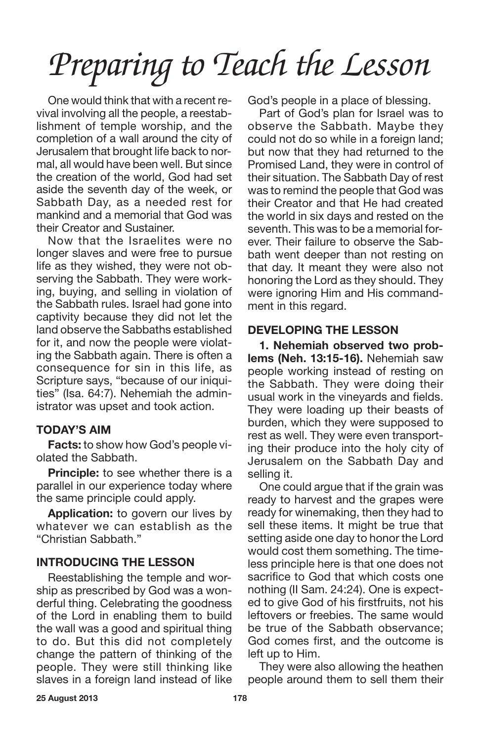One would think that with a recent revival involving all the people, a reestablishment of temple worship, and the completion of a wall around the city of Jerusalem that brought life back to normal, all would have been well. But since the creation of the world, God had set aside the seventh day of the week, or Sabbath Day, as a needed rest for mankind and a memorial that God was their Creator and Sustainer.

Now that the Israelites were no longer slaves and were free to pursue life as they wished, they were not observing the Sabbath. They were working, buying, and selling in violation of the Sabbath rules. Israel had gone into captivity because they did not let the land observe the Sabbaths established for it, and now the people were violating the Sabbath again. There is often a consequence for sin in this life, as Scripture says, "because of our iniquities" (Isa. 64:7). Nehemiah the administrator was upset and took action.

## **TODAY'S AIM**

**Facts:** to show how God's people violated the Sabbath.

**Principle:** to see whether there is a parallel in our experience today where the same principle could apply.

**Application:** to govern our lives by whatever we can establish as the "Christian Sabbath."

### **INTRODUCING THE LESSON**

Reestablishing the temple and worship as prescribed by God was a wonderful thing. Celebrating the goodness of the Lord in enabling them to build the wall was a good and spiritual thing to do. But this did not completely change the pattern of thinking of the people. They were still thinking like slaves in a foreign land instead of like God's people in a place of blessing.

Part of God's plan for Israel was to observe the Sabbath. Maybe they could not do so while in a foreign land; but now that they had returned to the Promised Land, they were in control of their situation. The Sabbath Day of rest was to remind the people that God was their Creator and that He had created the world in six days and rested on the seventh. This was to be a memorial forever. Their failure to observe the Sabbath went deeper than not resting on that day. It meant they were also not honoring the Lord as they should. They were ignoring Him and His commandment in this regard.

## **DEVELOPING THE LESSON**

**1. Nehemiah observed two problems (Neh. 13:15-16).** Nehemiah saw people working instead of resting on the Sabbath. They were doing their usual work in the vineyards and fields. They were loading up their beasts of burden, which they were supposed to rest as well. They were even transporting their produce into the holy city of Jerusalem on the Sabbath Day and selling it.

One could argue that if the grain was ready to harvest and the grapes were ready for winemaking, then they had to sell these items. It might be true that setting aside one day to honor the Lord would cost them something. The timeless principle here is that one does not sacrifice to God that which costs one nothing (II Sam. 24:24). One is expected to give God of his firstfruits, not his leftovers or freebies. The same would be true of the Sabbath observance; God comes first, and the outcome is left up to Him.

They were also allowing the heathen people around them to sell them their